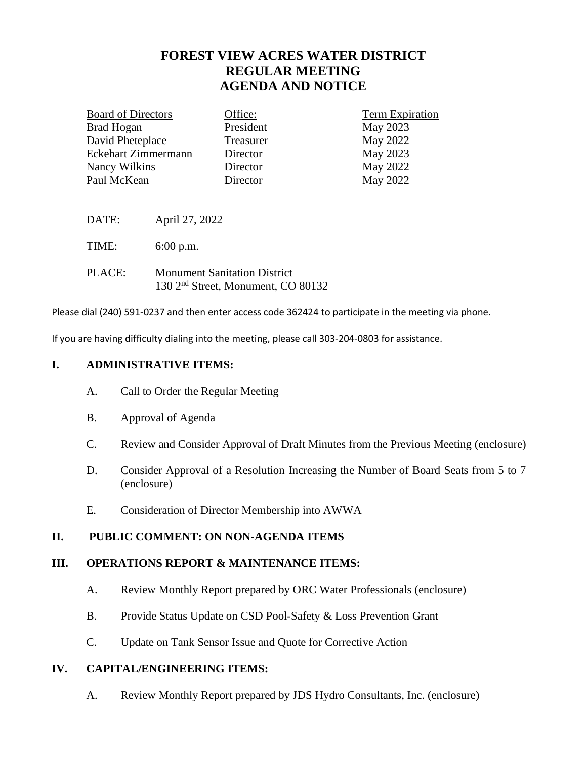# **FOREST VIEW ACRES WATER DISTRICT REGULAR MEETING AGENDA AND NOTICE**

| <b>Board of Directors</b> | Office:   | Term Expiration |
|---------------------------|-----------|-----------------|
| <b>Brad Hogan</b>         | President | May 2023        |
| David Pheteplace          | Treasurer | May 2022        |
| Eckehart Zimmermann       | Director  | May 2023        |
| Nancy Wilkins             | Director  | May 2022        |
| Paul McKean               | Director  | May 2022        |
|                           |           |                 |

DATE: April 27, 2022

TIME: 6:00 p.m.

| PLACE: | <b>Monument Sanitation District</b>            |
|--------|------------------------------------------------|
|        | 130 2 <sup>nd</sup> Street, Monument, CO 80132 |

Please dial (240) 591-0237 and then enter access code 362424 to participate in the meeting via phone.

If you are having difficulty dialing into the meeting, please call 303-204-0803 for assistance.

#### **I. ADMINISTRATIVE ITEMS:**

- A. Call to Order the Regular Meeting
- B. Approval of Agenda
- C. Review and Consider Approval of Draft Minutes from the Previous Meeting (enclosure)
- D. Consider Approval of a Resolution Increasing the Number of Board Seats from 5 to 7 (enclosure)
- E. Consideration of Director Membership into AWWA

# **II. PUBLIC COMMENT: ON NON-AGENDA ITEMS**

#### **III. OPERATIONS REPORT & MAINTENANCE ITEMS:**

- A. Review Monthly Report prepared by ORC Water Professionals (enclosure)
- B. Provide Status Update on CSD Pool-Safety & Loss Prevention Grant
- C. Update on Tank Sensor Issue and Quote for Corrective Action

# **IV. CAPITAL/ENGINEERING ITEMS:**

A. Review Monthly Report prepared by JDS Hydro Consultants, Inc. (enclosure)